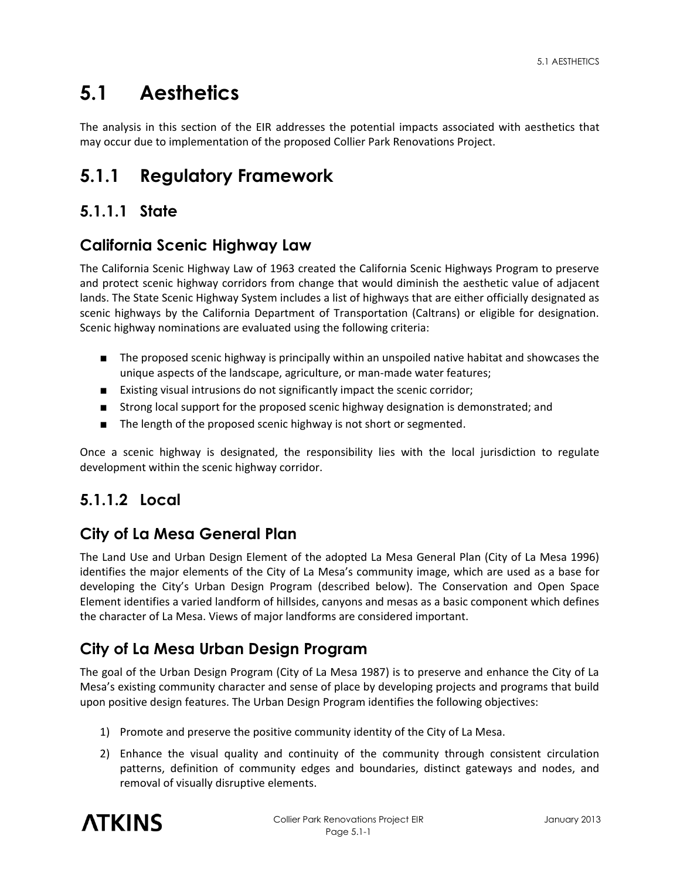# **5.1 Aesthetics**

The analysis in this section of the EIR addresses the potential impacts associated with aesthetics that may occur due to implementation of the proposed Collier Park Renovations Project.

# **5.1.1 Regulatory Framework**

## **5.1.1.1 State**

## **California Scenic Highway Law**

The California Scenic Highway Law of 1963 created the California Scenic Highways Program to preserve and protect scenic highway corridors from change that would diminish the aesthetic value of adjacent lands. The State Scenic Highway System includes a list of highways that are either officially designated as scenic highways by the California Department of Transportation (Caltrans) or eligible for designation. Scenic highway nominations are evaluated using the following criteria:

- The proposed scenic highway is principally within an unspoiled native habitat and showcases the unique aspects of the landscape, agriculture, or man-made water features;
- Existing visual intrusions do not significantly impact the scenic corridor;
- Strong local support for the proposed scenic highway designation is demonstrated; and
- The length of the proposed scenic highway is not short or segmented.

Once a scenic highway is designated, the responsibility lies with the local jurisdiction to regulate development within the scenic highway corridor.

# **5.1.1.2 Local**

### **City of La Mesa General Plan**

The Land Use and Urban Design Element of the adopted La Mesa General Plan (City of La Mesa 1996) identifies the major elements of the City of La Mesa's community image, which are used as a base for developing the City's Urban Design Program (described below). The Conservation and Open Space Element identifies a varied landform of hillsides, canyons and mesas as a basic component which defines the character of La Mesa. Views of major landforms are considered important.

# **City of La Mesa Urban Design Program**

The goal of the Urban Design Program (City of La Mesa 1987) is to preserve and enhance the City of La Mesa's existing community character and sense of place by developing projects and programs that build upon positive design features. The Urban Design Program identifies the following objectives:

- 1) Promote and preserve the positive community identity of the City of La Mesa.
- 2) Enhance the visual quality and continuity of the community through consistent circulation patterns, definition of community edges and boundaries, distinct gateways and nodes, and removal of visually disruptive elements.

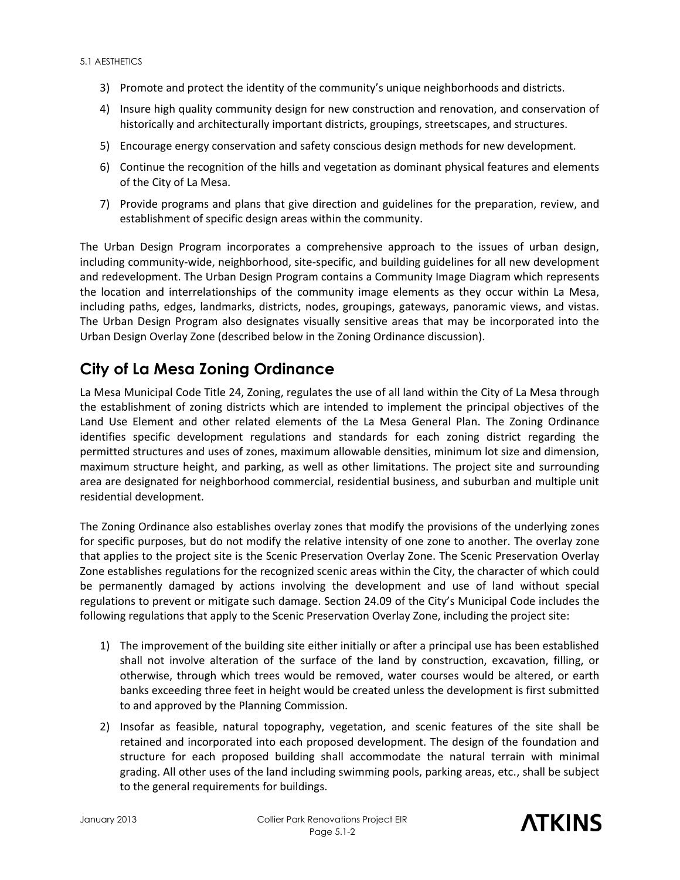- 3) Promote and protect the identity of the community's unique neighborhoods and districts.
- 4) Insure high quality community design for new construction and renovation, and conservation of historically and architecturally important districts, groupings, streetscapes, and structures.
- 5) Encourage energy conservation and safety conscious design methods for new development.
- 6) Continue the recognition of the hills and vegetation as dominant physical features and elements of the City of La Mesa.
- 7) Provide programs and plans that give direction and guidelines for the preparation, review, and establishment of specific design areas within the community.

The Urban Design Program incorporates a comprehensive approach to the issues of urban design, including community-wide, neighborhood, site-specific, and building guidelines for all new development and redevelopment. The Urban Design Program contains a Community Image Diagram which represents the location and interrelationships of the community image elements as they occur within La Mesa, including paths, edges, landmarks, districts, nodes, groupings, gateways, panoramic views, and vistas. The Urban Design Program also designates visually sensitive areas that may be incorporated into the Urban Design Overlay Zone (described below in the Zoning Ordinance discussion).

### **City of La Mesa Zoning Ordinance**

La Mesa Municipal Code Title 24, Zoning, regulates the use of all land within the City of La Mesa through the establishment of zoning districts which are intended to implement the principal objectives of the Land Use Element and other related elements of the La Mesa General Plan. The Zoning Ordinance identifies specific development regulations and standards for each zoning district regarding the permitted structures and uses of zones, maximum allowable densities, minimum lot size and dimension, maximum structure height, and parking, as well as other limitations. The project site and surrounding area are designated for neighborhood commercial, residential business, and suburban and multiple unit residential development.

The Zoning Ordinance also establishes overlay zones that modify the provisions of the underlying zones for specific purposes, but do not modify the relative intensity of one zone to another. The overlay zone that applies to the project site is the Scenic Preservation Overlay Zone. The Scenic Preservation Overlay Zone establishes regulations for the recognized scenic areas within the City, the character of which could be permanently damaged by actions involving the development and use of land without special regulations to prevent or mitigate such damage. Section 24.09 of the City's Municipal Code includes the following regulations that apply to the Scenic Preservation Overlay Zone, including the project site:

- 1) The improvement of the building site either initially or after a principal use has been established shall not involve alteration of the surface of the land by construction, excavation, filling, or otherwise, through which trees would be removed, water courses would be altered, or earth banks exceeding three feet in height would be created unless the development is first submitted to and approved by the Planning Commission.
- 2) Insofar as feasible, natural topography, vegetation, and scenic features of the site shall be retained and incorporated into each proposed development. The design of the foundation and structure for each proposed building shall accommodate the natural terrain with minimal grading. All other uses of the land including swimming pools, parking areas, etc., shall be subject to the general requirements for buildings.

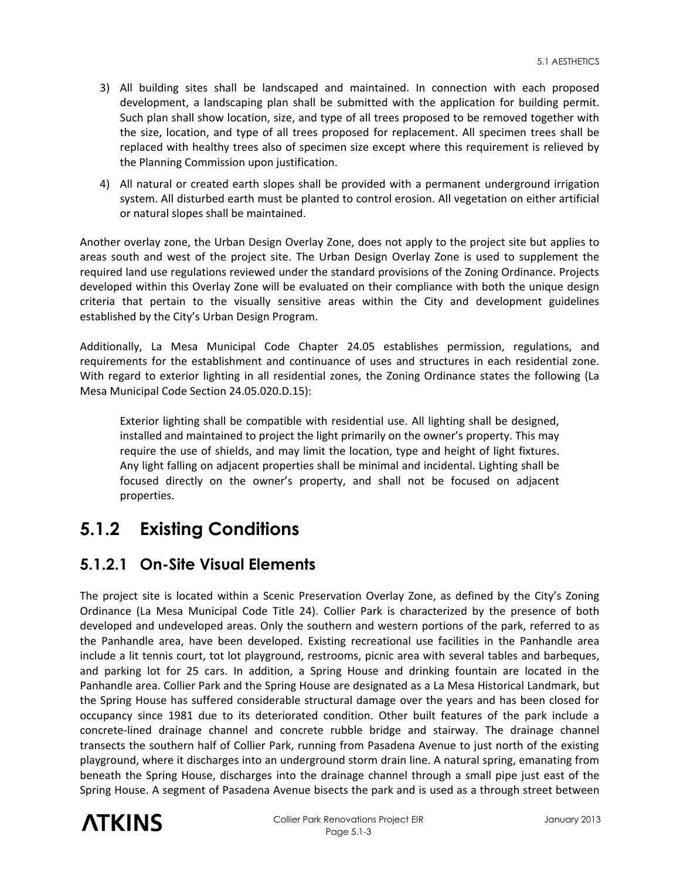- 3) All building sites shall be landscaped and maintained. In connection with each proposed development, a landscaping plan shall be submitted with the application for building permit. Such plan shall show location, size, and type of all trees proposed to be removed together with the size, location, and type of all trees proposed for replacement. All specimen trees shall be replaced with healthy trees also of specimen size except where this requirement is relieved by the Planning Commission upon justification.
- 4) All natural or created earth slopes shall be provided with a permanent underground irrigation system. All disturbed earth must be planted to control erosion. All vegetation on either artificial or natural slopes shall be maintained.

Another overlay zone, the Urban Design Overlay Zone, does not apply to the project site but applies to areas south and west of the project site. The Urban Design Overlay Zone is used to supplement the required land use regulations reviewed under the standard provisions of the Zoning Ordinance. Projects developed within this Overlay Zone will be evaluated on their compliance with both the unique design criteria that pertain to the visually sensitive areas within the City and development guidelines established by the City's Urban Design Program.

Additionally, La Mesa Municipal Code Chapter 24.05 establishes permission, regulations, and requirements for the establishment and continuance of uses and structures in each residential zone. With regard to exterior lighting in all residential zones, the Zoning Ordinance states the following (La Mesa Municipal Code Section 24.05.020.D.15):

Exterior lighting shall be compatible with residential use. All lighting shall be designed, installed and maintained to project the light primarily on the owner's property. This may require the use of shields, and may limit the location, type and height of light fixtures. Any light falling on adjacent properties shall be minimal and incidental. Lighting shall be focused directly on the owner's property, and shall not be focused on adjacent properties.

# **5.1.2 Existing Conditions**

### **5.1.2.1 On-Site Visual Elements**

The project site is located within a Scenic Preservation Overlay Zone, as defined by the City's Zoning Ordinance (La Mesa Municipal Code Title 24). Collier Park is characterized by the presence of both developed and undeveloped areas. Only the southern and western portions of the park, referred to as the Panhandle area, have been developed. Existing recreational use facilities in the Panhandle area include a lit tennis court, tot lot playground, restrooms, picnic area with several tables and barbeques, and parking lot for 25 cars. In addition, a Spring House and drinking fountain are located in the Panhandle area. Collier Park and the Spring House are designated as a La Mesa Historical Landmark, but the Spring House has suffered considerable structural damage over the years and has been closed for occupancy since 1981 due to its deteriorated condition. Other built features of the park include a concrete-lined drainage channel and concrete rubble bridge and stairway. The drainage channel transects the southern half of Collier Park, running from Pasadena Avenue to just north of the existing playground, where it discharges into an underground storm drain line. A natural spring, emanating from beneath the Spring House, discharges into the drainage channel through a small pipe just east of the Spring House. A segment of Pasadena Avenue bisects the park and is used as a through street between

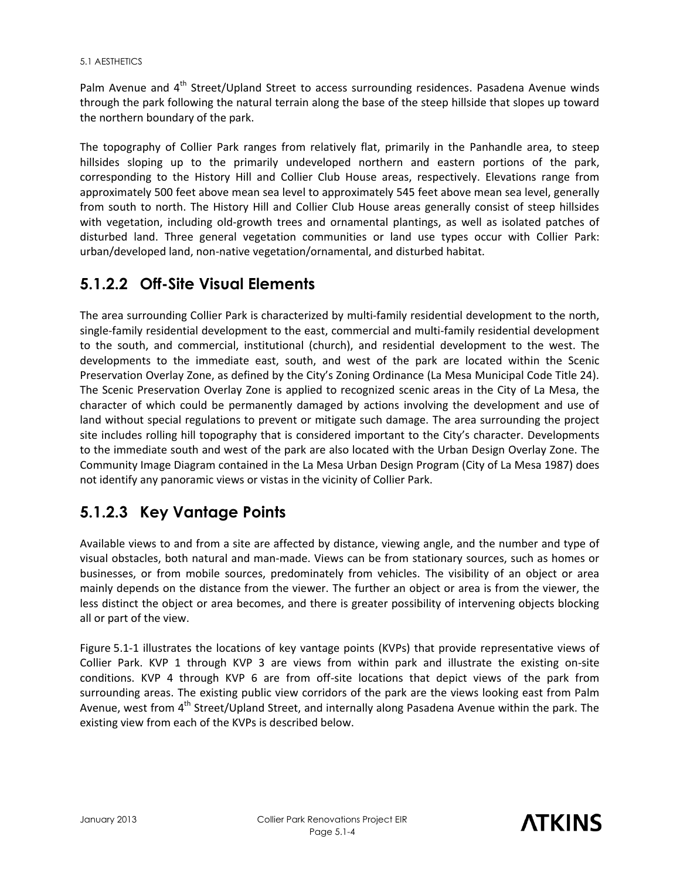Palm Avenue and 4<sup>th</sup> Street/Upland Street to access surrounding residences. Pasadena Avenue winds through the park following the natural terrain along the base of the steep hillside that slopes up toward the northern boundary of the park.

The topography of Collier Park ranges from relatively flat, primarily in the Panhandle area, to steep hillsides sloping up to the primarily undeveloped northern and eastern portions of the park, corresponding to the History Hill and Collier Club House areas, respectively. Elevations range from approximately 500 feet above mean sea level to approximately 545 feet above mean sea level, generally from south to north. The History Hill and Collier Club House areas generally consist of steep hillsides with vegetation, including old-growth trees and ornamental plantings, as well as isolated patches of disturbed land. Three general vegetation communities or land use types occur with Collier Park: urban/developed land, non-native vegetation/ornamental, and disturbed habitat.

### **5.1.2.2 Off-Site Visual Elements**

The area surrounding Collier Park is characterized by multi-family residential development to the north, single-family residential development to the east, commercial and multi-family residential development to the south, and commercial, institutional (church), and residential development to the west. The developments to the immediate east, south, and west of the park are located within the Scenic Preservation Overlay Zone, as defined by the City's Zoning Ordinance (La Mesa Municipal Code Title 24). The Scenic Preservation Overlay Zone is applied to recognized scenic areas in the City of La Mesa, the character of which could be permanently damaged by actions involving the development and use of land without special regulations to prevent or mitigate such damage. The area surrounding the project site includes rolling hill topography that is considered important to the City's character. Developments to the immediate south and west of the park are also located with the Urban Design Overlay Zone. The Community Image Diagram contained in the La Mesa Urban Design Program (City of La Mesa 1987) does not identify any panoramic views or vistas in the vicinity of Collier Park.

# **5.1.2.3 Key Vantage Points**

Available views to and from a site are affected by distance, viewing angle, and the number and type of visual obstacles, both natural and man-made. Views can be from stationary sources, such as homes or businesses, or from mobile sources, predominately from vehicles. The visibility of an object or area mainly depends on the distance from the viewer. The further an object or area is from the viewer, the less distinct the object or area becomes, and there is greater possibility of intervening objects blocking all or part of the view.

Figure 5.1-1 illustrates the locations of key vantage points (KVPs) that provide representative views of Collier Park. KVP 1 through KVP 3 are views from within park and illustrate the existing on-site conditions. KVP 4 through KVP 6 are from off-site locations that depict views of the park from surrounding areas. The existing public view corridors of the park are the views looking east from Palm Avenue, west from 4<sup>th</sup> Street/Upland Street, and internally along Pasadena Avenue within the park. The existing view from each of the KVPs is described below.

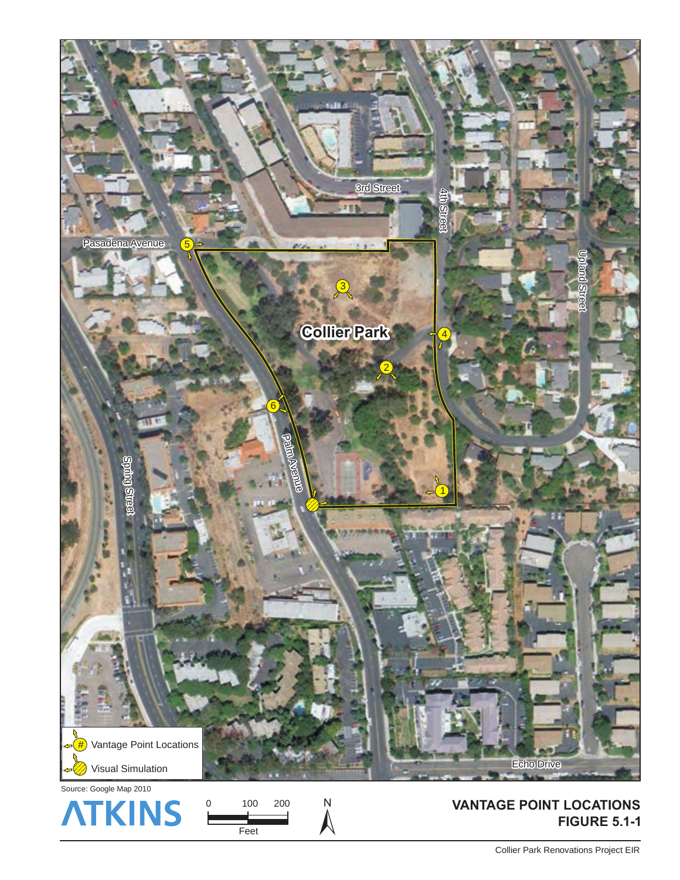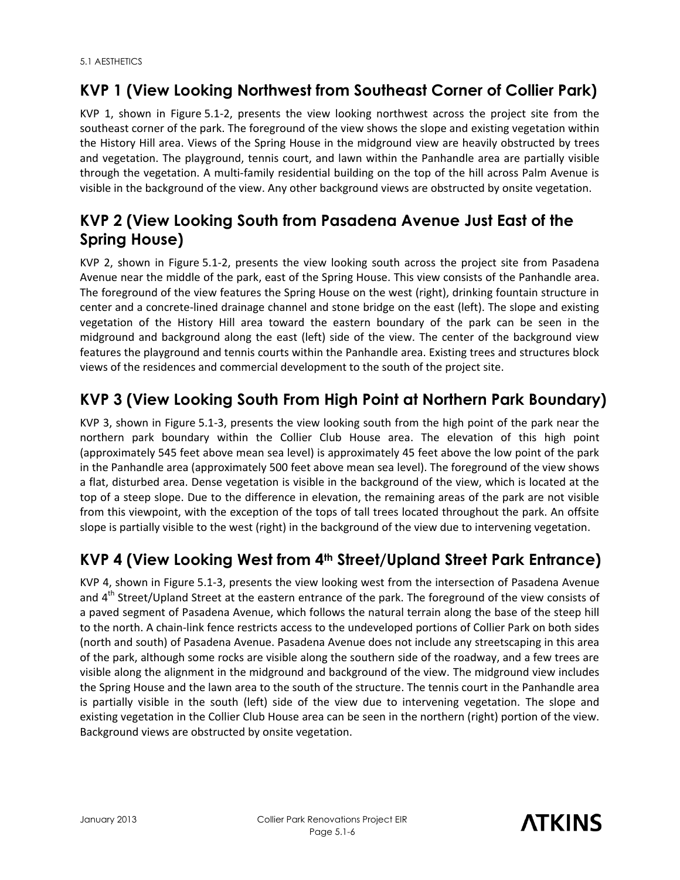# **KVP 1 (View Looking Northwest from Southeast Corner of Collier Park)**

KVP 1, shown in Figure 5.1-2, presents the view looking northwest across the project site from the southeast corner of the park. The foreground of the view shows the slope and existing vegetation within the History Hill area. Views of the Spring House in the midground view are heavily obstructed by trees and vegetation. The playground, tennis court, and lawn within the Panhandle area are partially visible through the vegetation. A multi-family residential building on the top of the hill across Palm Avenue is visible in the background of the view. Any other background views are obstructed by onsite vegetation.

# **KVP 2 (View Looking South from Pasadena Avenue Just East of the Spring House)**

KVP 2, shown in Figure 5.1-2, presents the view looking south across the project site from Pasadena Avenue near the middle of the park, east of the Spring House. This view consists of the Panhandle area. The foreground of the view features the Spring House on the west (right), drinking fountain structure in center and a concrete-lined drainage channel and stone bridge on the east (left). The slope and existing vegetation of the History Hill area toward the eastern boundary of the park can be seen in the midground and background along the east (left) side of the view. The center of the background view features the playground and tennis courts within the Panhandle area. Existing trees and structures block views of the residences and commercial development to the south of the project site.

# **KVP 3 (View Looking South From High Point at Northern Park Boundary)**

KVP 3, shown in Figure 5.1-3, presents the view looking south from the high point of the park near the northern park boundary within the Collier Club House area. The elevation of this high point (approximately 545 feet above mean sea level) is approximately 45 feet above the low point of the park in the Panhandle area (approximately 500 feet above mean sea level). The foreground of the view shows a flat, disturbed area. Dense vegetation is visible in the background of the view, which is located at the top of a steep slope. Due to the difference in elevation, the remaining areas of the park are not visible from this viewpoint, with the exception of the tops of tall trees located throughout the park. An offsite slope is partially visible to the west (right) in the background of the view due to intervening vegetation.

# **KVP 4 (View Looking West from 4th Street/Upland Street Park Entrance)**

KVP 4, shown in Figure 5.1-3, presents the view looking west from the intersection of Pasadena Avenue and 4<sup>th</sup> Street/Upland Street at the eastern entrance of the park. The foreground of the view consists of a paved segment of Pasadena Avenue, which follows the natural terrain along the base of the steep hill to the north. A chain-link fence restricts access to the undeveloped portions of Collier Park on both sides (north and south) of Pasadena Avenue. Pasadena Avenue does not include any streetscaping in this area of the park, although some rocks are visible along the southern side of the roadway, and a few trees are visible along the alignment in the midground and background of the view. The midground view includes the Spring House and the lawn area to the south of the structure. The tennis court in the Panhandle area is partially visible in the south (left) side of the view due to intervening vegetation. The slope and existing vegetation in the Collier Club House area can be seen in the northern (right) portion of the view. Background views are obstructed by onsite vegetation.

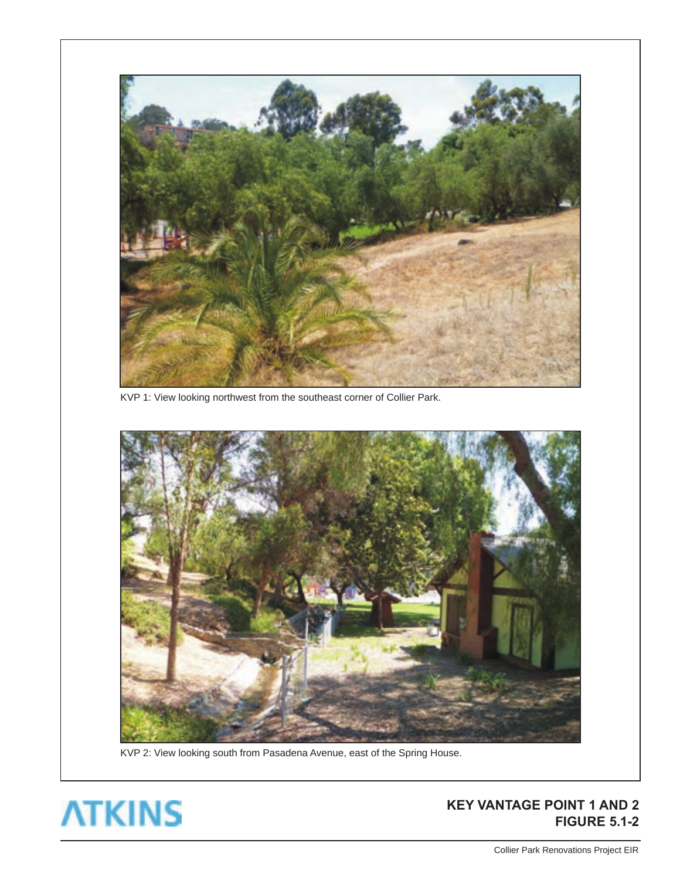

KVP 1: View looking northwest from the southeast corner of Collier Park.



KVP 2: View looking south from Pasadena Avenue, east of the Spring House.



#### **KEY VANTAGE POINT 1 AND 2 FIGURE 5.1-2**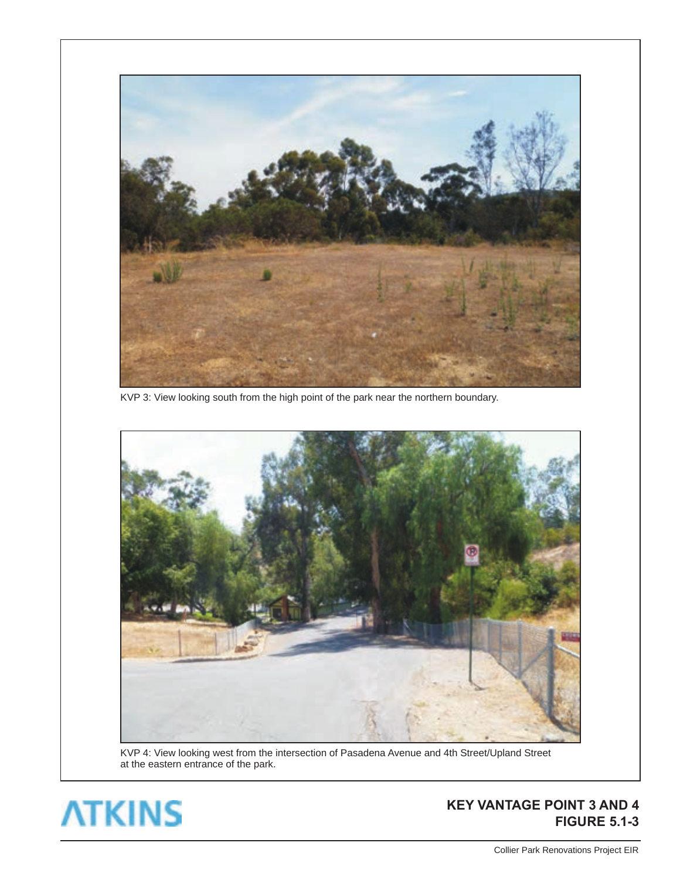

KVP 3: View looking south from the high point of the park near the northern boundary.



KVP 4: View looking west from the intersection of Pasadena Avenue and 4th Street/Upland Street at the eastern entrance of the park.



#### **KEY VANTAGE POINT 3 AND 4 FIGURE 5.1-3**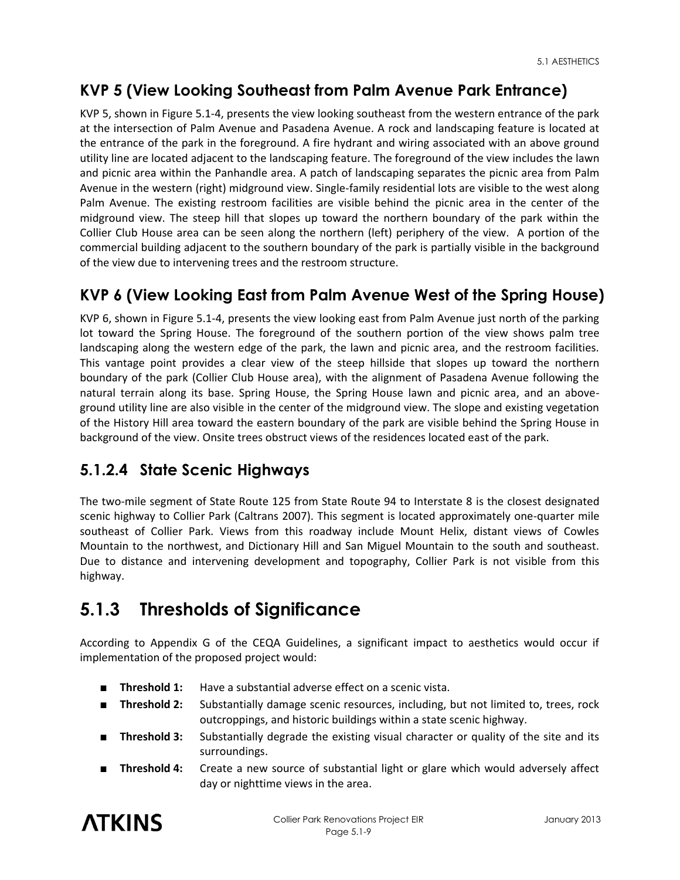# **KVP 5 (View Looking Southeast from Palm Avenue Park Entrance)**

KVP 5, shown in Figure 5.1-4, presents the view looking southeast from the western entrance of the park at the intersection of Palm Avenue and Pasadena Avenue. A rock and landscaping feature is located at the entrance of the park in the foreground. A fire hydrant and wiring associated with an above ground utility line are located adjacent to the landscaping feature. The foreground of the view includes the lawn and picnic area within the Panhandle area. A patch of landscaping separates the picnic area from Palm Avenue in the western (right) midground view. Single-family residential lots are visible to the west along Palm Avenue. The existing restroom facilities are visible behind the picnic area in the center of the midground view. The steep hill that slopes up toward the northern boundary of the park within the Collier Club House area can be seen along the northern (left) periphery of the view. A portion of the commercial building adjacent to the southern boundary of the park is partially visible in the background of the view due to intervening trees and the restroom structure.

## **KVP 6 (View Looking East from Palm Avenue West of the Spring House)**

KVP 6, shown in Figure 5.1-4, presents the view looking east from Palm Avenue just north of the parking lot toward the Spring House. The foreground of the southern portion of the view shows palm tree landscaping along the western edge of the park, the lawn and picnic area, and the restroom facilities. This vantage point provides a clear view of the steep hillside that slopes up toward the northern boundary of the park (Collier Club House area), with the alignment of Pasadena Avenue following the natural terrain along its base. Spring House, the Spring House lawn and picnic area, and an aboveground utility line are also visible in the center of the midground view. The slope and existing vegetation of the History Hill area toward the eastern boundary of the park are visible behind the Spring House in background of the view. Onsite trees obstruct views of the residences located east of the park.

# **5.1.2.4 State Scenic Highways**

The two-mile segment of State Route 125 from State Route 94 to Interstate 8 is the closest designated scenic highway to Collier Park (Caltrans 2007). This segment is located approximately one-quarter mile southeast of Collier Park. Views from this roadway include Mount Helix, distant views of Cowles Mountain to the northwest, and Dictionary Hill and San Miguel Mountain to the south and southeast. Due to distance and intervening development and topography, Collier Park is not visible from this highway.

# **5.1.3 Thresholds of Significance**

According to Appendix G of the CEQA Guidelines, a significant impact to aesthetics would occur if implementation of the proposed project would:

- **Threshold 1:** Have a substantial adverse effect on a scenic vista.
- **Threshold 2:** Substantially damage scenic resources, including, but not limited to, trees, rock outcroppings, and historic buildings within a state scenic highway.
- **Threshold 3:** Substantially degrade the existing visual character or quality of the site and its surroundings.
- **Threshold 4:** Create a new source of substantial light or glare which would adversely affect day or nighttime views in the area.

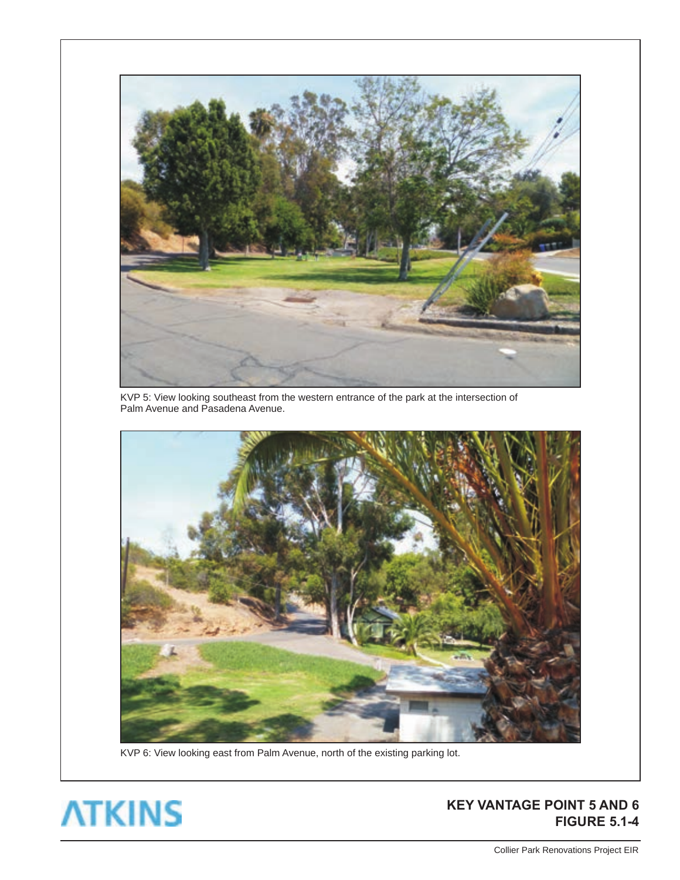

KVP 5: View looking southeast from the western entrance of the park at the intersection of Palm Avenue and Pasadena Avenue.



KVP 6: View looking east from Palm Avenue, north of the existing parking lot.



#### **KEY VANTAGE POINT 5 AND 6 FIGURE 5.1-4**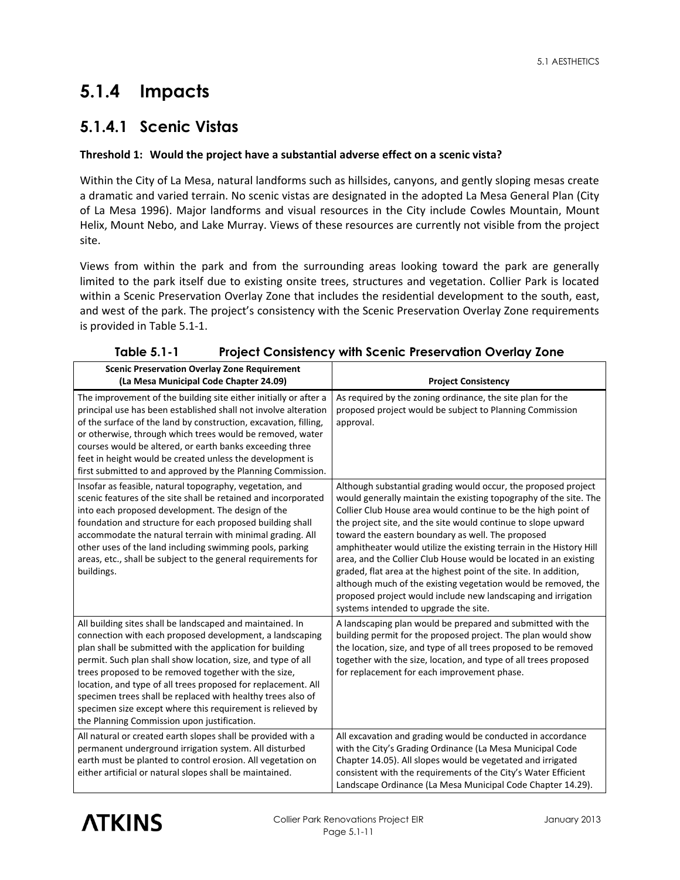# **5.1.4 Impacts**

## **5.1.4.1 Scenic Vistas**

#### **Threshold 1: Would the project have a substantial adverse effect on a scenic vista?**

Within the City of La Mesa, natural landforms such as hillsides, canyons, and gently sloping mesas create a dramatic and varied terrain. No scenic vistas are designated in the adopted La Mesa General Plan (City of La Mesa 1996). Major landforms and visual resources in the City include Cowles Mountain, Mount Helix, Mount Nebo, and Lake Murray. Views of these resources are currently not visible from the project site.

Views from within the park and from the surrounding areas looking toward the park are generally limited to the park itself due to existing onsite trees, structures and vegetation. Collier Park is located within a Scenic Preservation Overlay Zone that includes the residential development to the south, east, and west of the park. The project's consistency with the Scenic Preservation Overlay Zone requirements is provided in Table 5.1-1.

| <b>Scenic Preservation Overlay Zone Requirement</b><br>(La Mesa Municipal Code Chapter 24.09)                                                                                                                                                                                                                                                                                                                                                                                                                                                           | <b>Project Consistency</b>                                                                                                                                                                                                                                                                                                                                                                                                                                                                                                                                                                                                                                                                                             |  |
|---------------------------------------------------------------------------------------------------------------------------------------------------------------------------------------------------------------------------------------------------------------------------------------------------------------------------------------------------------------------------------------------------------------------------------------------------------------------------------------------------------------------------------------------------------|------------------------------------------------------------------------------------------------------------------------------------------------------------------------------------------------------------------------------------------------------------------------------------------------------------------------------------------------------------------------------------------------------------------------------------------------------------------------------------------------------------------------------------------------------------------------------------------------------------------------------------------------------------------------------------------------------------------------|--|
| The improvement of the building site either initially or after a<br>principal use has been established shall not involve alteration<br>of the surface of the land by construction, excavation, filling,<br>or otherwise, through which trees would be removed, water<br>courses would be altered, or earth banks exceeding three<br>feet in height would be created unless the development is<br>first submitted to and approved by the Planning Commission.                                                                                            | As required by the zoning ordinance, the site plan for the<br>proposed project would be subject to Planning Commission<br>approval.                                                                                                                                                                                                                                                                                                                                                                                                                                                                                                                                                                                    |  |
| Insofar as feasible, natural topography, vegetation, and<br>scenic features of the site shall be retained and incorporated<br>into each proposed development. The design of the<br>foundation and structure for each proposed building shall<br>accommodate the natural terrain with minimal grading. All<br>other uses of the land including swimming pools, parking<br>areas, etc., shall be subject to the general requirements for<br>buildings.                                                                                                    | Although substantial grading would occur, the proposed project<br>would generally maintain the existing topography of the site. The<br>Collier Club House area would continue to be the high point of<br>the project site, and the site would continue to slope upward<br>toward the eastern boundary as well. The proposed<br>amphitheater would utilize the existing terrain in the History Hill<br>area, and the Collier Club House would be located in an existing<br>graded, flat area at the highest point of the site. In addition,<br>although much of the existing vegetation would be removed, the<br>proposed project would include new landscaping and irrigation<br>systems intended to upgrade the site. |  |
| All building sites shall be landscaped and maintained. In<br>connection with each proposed development, a landscaping<br>plan shall be submitted with the application for building<br>permit. Such plan shall show location, size, and type of all<br>trees proposed to be removed together with the size,<br>location, and type of all trees proposed for replacement. All<br>specimen trees shall be replaced with healthy trees also of<br>specimen size except where this requirement is relieved by<br>the Planning Commission upon justification. | A landscaping plan would be prepared and submitted with the<br>building permit for the proposed project. The plan would show<br>the location, size, and type of all trees proposed to be removed<br>together with the size, location, and type of all trees proposed<br>for replacement for each improvement phase.                                                                                                                                                                                                                                                                                                                                                                                                    |  |
| All natural or created earth slopes shall be provided with a<br>permanent underground irrigation system. All disturbed<br>earth must be planted to control erosion. All vegetation on<br>either artificial or natural slopes shall be maintained.                                                                                                                                                                                                                                                                                                       | All excavation and grading would be conducted in accordance<br>with the City's Grading Ordinance (La Mesa Municipal Code<br>Chapter 14.05). All slopes would be vegetated and irrigated<br>consistent with the requirements of the City's Water Efficient<br>Landscape Ordinance (La Mesa Municipal Code Chapter 14.29).                                                                                                                                                                                                                                                                                                                                                                                               |  |

#### **Table 5.1-1 Project Consistency with Scenic Preservation Overlay Zone**

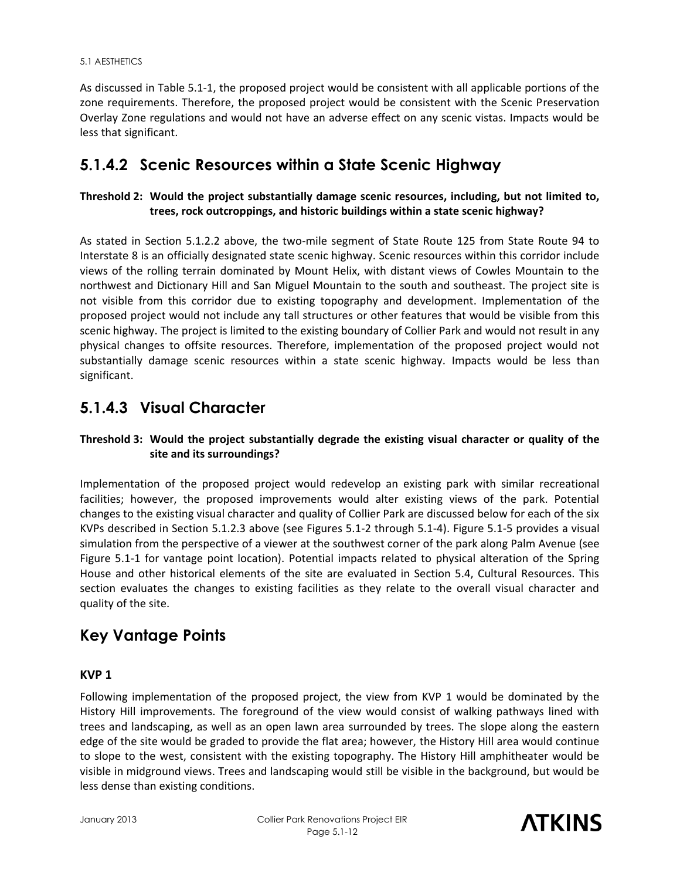As discussed in Table 5.1-1, the proposed project would be consistent with all applicable portions of the zone requirements. Therefore, the proposed project would be consistent with the Scenic Preservation Overlay Zone regulations and would not have an adverse effect on any scenic vistas. Impacts would be less that significant.

### **5.1.4.2 Scenic Resources within a State Scenic Highway**

#### **Threshold 2: Would the project substantially damage scenic resources, including, but not limited to, trees, rock outcroppings, and historic buildings within a state scenic highway?**

As stated in Section 5.1.2.2 above, the two-mile segment of State Route 125 from State Route 94 to Interstate 8 is an officially designated state scenic highway. Scenic resources within this corridor include views of the rolling terrain dominated by Mount Helix, with distant views of Cowles Mountain to the northwest and Dictionary Hill and San Miguel Mountain to the south and southeast. The project site is not visible from this corridor due to existing topography and development. Implementation of the proposed project would not include any tall structures or other features that would be visible from this scenic highway. The project is limited to the existing boundary of Collier Park and would not result in any physical changes to offsite resources. Therefore, implementation of the proposed project would not substantially damage scenic resources within a state scenic highway. Impacts would be less than significant.

## **5.1.4.3 Visual Character**

#### **Threshold 3: Would the project substantially degrade the existing visual character or quality of the site and its surroundings?**

Implementation of the proposed project would redevelop an existing park with similar recreational facilities; however, the proposed improvements would alter existing views of the park. Potential changes to the existing visual character and quality of Collier Park are discussed below for each of the six KVPs described in Section 5.1.2.3 above (see Figures 5.1-2 through 5.1-4). Figure 5.1-5 provides a visual simulation from the perspective of a viewer at the southwest corner of the park along Palm Avenue (see Figure 5.1-1 for vantage point location). Potential impacts related to physical alteration of the Spring House and other historical elements of the site are evaluated in Section 5.4, Cultural Resources. This section evaluates the changes to existing facilities as they relate to the overall visual character and quality of the site.

### **Key Vantage Points**

#### **KVP 1**

Following implementation of the proposed project, the view from KVP 1 would be dominated by the History Hill improvements. The foreground of the view would consist of walking pathways lined with trees and landscaping, as well as an open lawn area surrounded by trees. The slope along the eastern edge of the site would be graded to provide the flat area; however, the History Hill area would continue to slope to the west, consistent with the existing topography. The History Hill amphitheater would be visible in midground views. Trees and landscaping would still be visible in the background, but would be less dense than existing conditions.

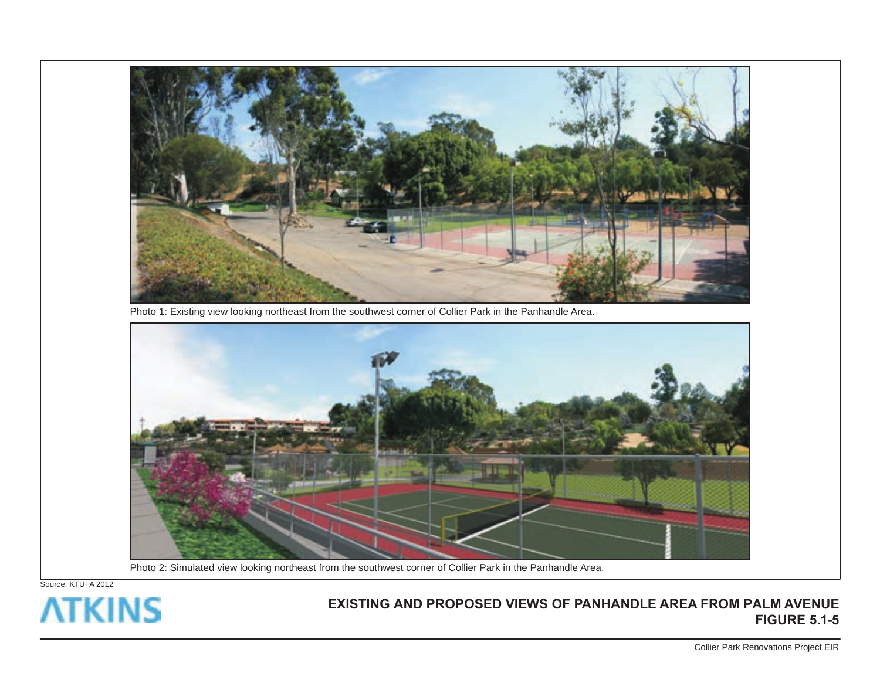

Photo 1: Existing view looking northeast from the southwest corner of Collier Park in the Panhandle Area.



Photo 2: Simulated view looking northeast from the southwest corner of Collier Park in the Panhandle Area.

Source: KTU+A 2012



#### **EXISTING AND PROPOSED VIEWS OF PANHANDLE AREA FROM PALM AVENUE FIGURE 5.1-5**

Collier Park Renovations Project EIR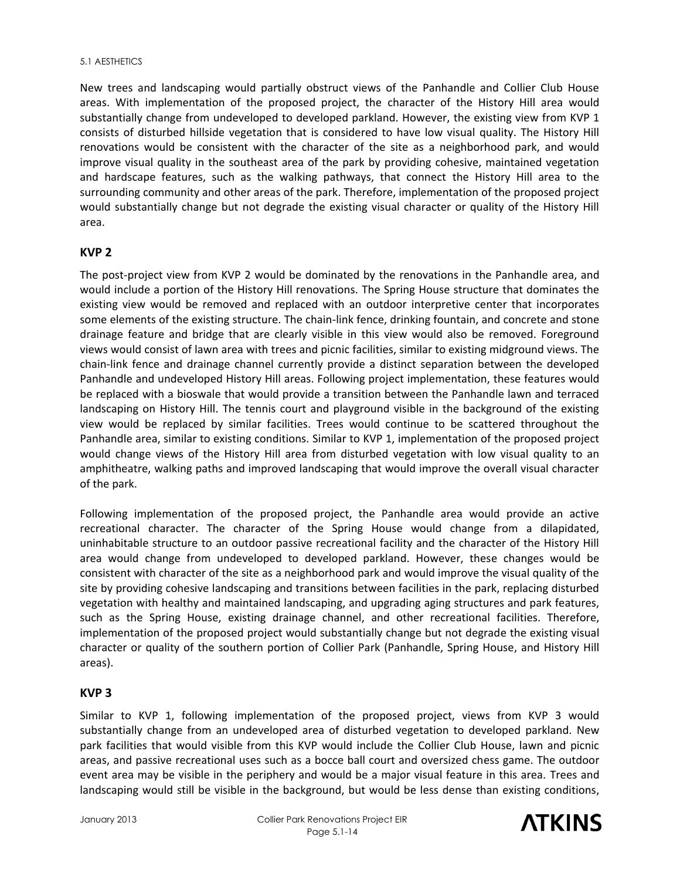New trees and landscaping would partially obstruct views of the Panhandle and Collier Club House areas. With implementation of the proposed project, the character of the History Hill area would substantially change from undeveloped to developed parkland. However, the existing view from KVP 1 consists of disturbed hillside vegetation that is considered to have low visual quality. The History Hill renovations would be consistent with the character of the site as a neighborhood park, and would improve visual quality in the southeast area of the park by providing cohesive, maintained vegetation and hardscape features, such as the walking pathways, that connect the History Hill area to the surrounding community and other areas of the park. Therefore, implementation of the proposed project would substantially change but not degrade the existing visual character or quality of the History Hill area.

#### **KVP 2**

The post-project view from KVP 2 would be dominated by the renovations in the Panhandle area, and would include a portion of the History Hill renovations. The Spring House structure that dominates the existing view would be removed and replaced with an outdoor interpretive center that incorporates some elements of the existing structure. The chain-link fence, drinking fountain, and concrete and stone drainage feature and bridge that are clearly visible in this view would also be removed. Foreground views would consist of lawn area with trees and picnic facilities, similar to existing midground views. The chain-link fence and drainage channel currently provide a distinct separation between the developed Panhandle and undeveloped History Hill areas. Following project implementation, these features would be replaced with a bioswale that would provide a transition between the Panhandle lawn and terraced landscaping on History Hill. The tennis court and playground visible in the background of the existing view would be replaced by similar facilities. Trees would continue to be scattered throughout the Panhandle area, similar to existing conditions. Similar to KVP 1, implementation of the proposed project would change views of the History Hill area from disturbed vegetation with low visual quality to an amphitheatre, walking paths and improved landscaping that would improve the overall visual character of the park.

Following implementation of the proposed project, the Panhandle area would provide an active recreational character. The character of the Spring House would change from a dilapidated, uninhabitable structure to an outdoor passive recreational facility and the character of the History Hill area would change from undeveloped to developed parkland. However, these changes would be consistent with character of the site as a neighborhood park and would improve the visual quality of the site by providing cohesive landscaping and transitions between facilities in the park, replacing disturbed vegetation with healthy and maintained landscaping, and upgrading aging structures and park features, such as the Spring House, existing drainage channel, and other recreational facilities. Therefore, implementation of the proposed project would substantially change but not degrade the existing visual character or quality of the southern portion of Collier Park (Panhandle, Spring House, and History Hill areas).

#### **KVP 3**

Similar to KVP 1, following implementation of the proposed project, views from KVP 3 would substantially change from an undeveloped area of disturbed vegetation to developed parkland. New park facilities that would visible from this KVP would include the Collier Club House, lawn and picnic areas, and passive recreational uses such as a bocce ball court and oversized chess game. The outdoor event area may be visible in the periphery and would be a major visual feature in this area. Trees and landscaping would still be visible in the background, but would be less dense than existing conditions,

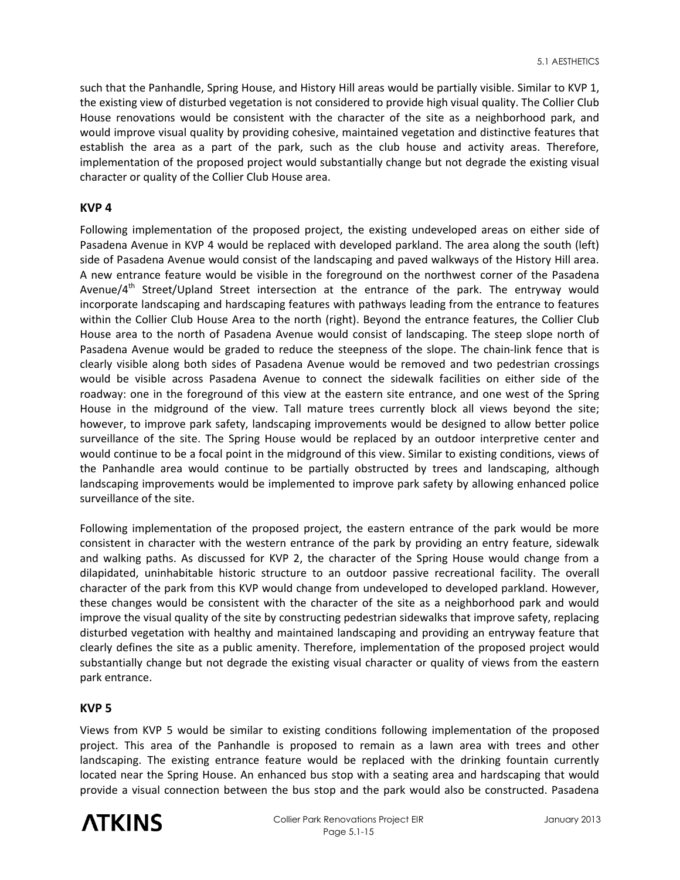such that the Panhandle, Spring House, and History Hill areas would be partially visible. Similar to KVP 1, the existing view of disturbed vegetation is not considered to provide high visual quality. The Collier Club House renovations would be consistent with the character of the site as a neighborhood park, and would improve visual quality by providing cohesive, maintained vegetation and distinctive features that establish the area as a part of the park, such as the club house and activity areas. Therefore, implementation of the proposed project would substantially change but not degrade the existing visual character or quality of the Collier Club House area.

#### **KVP 4**

Following implementation of the proposed project, the existing undeveloped areas on either side of Pasadena Avenue in KVP 4 would be replaced with developed parkland. The area along the south (left) side of Pasadena Avenue would consist of the landscaping and paved walkways of the History Hill area. A new entrance feature would be visible in the foreground on the northwest corner of the Pasadena Avenue/ $4<sup>th</sup>$  Street/Upland Street intersection at the entrance of the park. The entryway would incorporate landscaping and hardscaping features with pathways leading from the entrance to features within the Collier Club House Area to the north (right). Beyond the entrance features, the Collier Club House area to the north of Pasadena Avenue would consist of landscaping. The steep slope north of Pasadena Avenue would be graded to reduce the steepness of the slope. The chain-link fence that is clearly visible along both sides of Pasadena Avenue would be removed and two pedestrian crossings would be visible across Pasadena Avenue to connect the sidewalk facilities on either side of the roadway: one in the foreground of this view at the eastern site entrance, and one west of the Spring House in the midground of the view. Tall mature trees currently block all views beyond the site; however, to improve park safety, landscaping improvements would be designed to allow better police surveillance of the site. The Spring House would be replaced by an outdoor interpretive center and would continue to be a focal point in the midground of this view. Similar to existing conditions, views of the Panhandle area would continue to be partially obstructed by trees and landscaping, although landscaping improvements would be implemented to improve park safety by allowing enhanced police surveillance of the site.

Following implementation of the proposed project, the eastern entrance of the park would be more consistent in character with the western entrance of the park by providing an entry feature, sidewalk and walking paths. As discussed for KVP 2, the character of the Spring House would change from a dilapidated, uninhabitable historic structure to an outdoor passive recreational facility. The overall character of the park from this KVP would change from undeveloped to developed parkland. However, these changes would be consistent with the character of the site as a neighborhood park and would improve the visual quality of the site by constructing pedestrian sidewalks that improve safety, replacing disturbed vegetation with healthy and maintained landscaping and providing an entryway feature that clearly defines the site as a public amenity. Therefore, implementation of the proposed project would substantially change but not degrade the existing visual character or quality of views from the eastern park entrance.

#### **KVP 5**

Views from KVP 5 would be similar to existing conditions following implementation of the proposed project. This area of the Panhandle is proposed to remain as a lawn area with trees and other landscaping. The existing entrance feature would be replaced with the drinking fountain currently located near the Spring House. An enhanced bus stop with a seating area and hardscaping that would provide a visual connection between the bus stop and the park would also be constructed. Pasadena

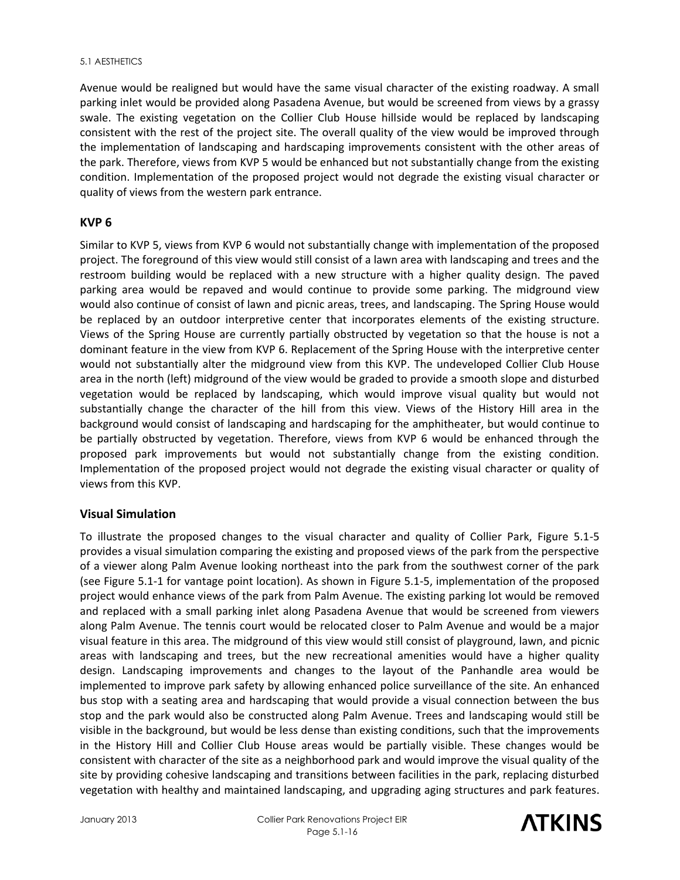#### 5.1 AESTHETICS

Avenue would be realigned but would have the same visual character of the existing roadway. A small parking inlet would be provided along Pasadena Avenue, but would be screened from views by a grassy swale. The existing vegetation on the Collier Club House hillside would be replaced by landscaping consistent with the rest of the project site. The overall quality of the view would be improved through the implementation of landscaping and hardscaping improvements consistent with the other areas of the park. Therefore, views from KVP 5 would be enhanced but not substantially change from the existing condition. Implementation of the proposed project would not degrade the existing visual character or quality of views from the western park entrance.

#### **KVP 6**

Similar to KVP 5, views from KVP 6 would not substantially change with implementation of the proposed project. The foreground of this view would still consist of a lawn area with landscaping and trees and the restroom building would be replaced with a new structure with a higher quality design. The paved parking area would be repaved and would continue to provide some parking. The midground view would also continue of consist of lawn and picnic areas, trees, and landscaping. The Spring House would be replaced by an outdoor interpretive center that incorporates elements of the existing structure. Views of the Spring House are currently partially obstructed by vegetation so that the house is not a dominant feature in the view from KVP 6. Replacement of the Spring House with the interpretive center would not substantially alter the midground view from this KVP. The undeveloped Collier Club House area in the north (left) midground of the view would be graded to provide a smooth slope and disturbed vegetation would be replaced by landscaping, which would improve visual quality but would not substantially change the character of the hill from this view. Views of the History Hill area in the background would consist of landscaping and hardscaping for the amphitheater, but would continue to be partially obstructed by vegetation. Therefore, views from KVP 6 would be enhanced through the proposed park improvements but would not substantially change from the existing condition. Implementation of the proposed project would not degrade the existing visual character or quality of views from this KVP.

#### **Visual Simulation**

To illustrate the proposed changes to the visual character and quality of Collier Park, Figure 5.1-5 provides a visual simulation comparing the existing and proposed views of the park from the perspective of a viewer along Palm Avenue looking northeast into the park from the southwest corner of the park (see Figure 5.1-1 for vantage point location). As shown in Figure 5.1-5, implementation of the proposed project would enhance views of the park from Palm Avenue. The existing parking lot would be removed and replaced with a small parking inlet along Pasadena Avenue that would be screened from viewers along Palm Avenue. The tennis court would be relocated closer to Palm Avenue and would be a major visual feature in this area. The midground of this view would still consist of playground, lawn, and picnic areas with landscaping and trees, but the new recreational amenities would have a higher quality design. Landscaping improvements and changes to the layout of the Panhandle area would be implemented to improve park safety by allowing enhanced police surveillance of the site. An enhanced bus stop with a seating area and hardscaping that would provide a visual connection between the bus stop and the park would also be constructed along Palm Avenue. Trees and landscaping would still be visible in the background, but would be less dense than existing conditions, such that the improvements in the History Hill and Collier Club House areas would be partially visible. These changes would be consistent with character of the site as a neighborhood park and would improve the visual quality of the site by providing cohesive landscaping and transitions between facilities in the park, replacing disturbed vegetation with healthy and maintained landscaping, and upgrading aging structures and park features.

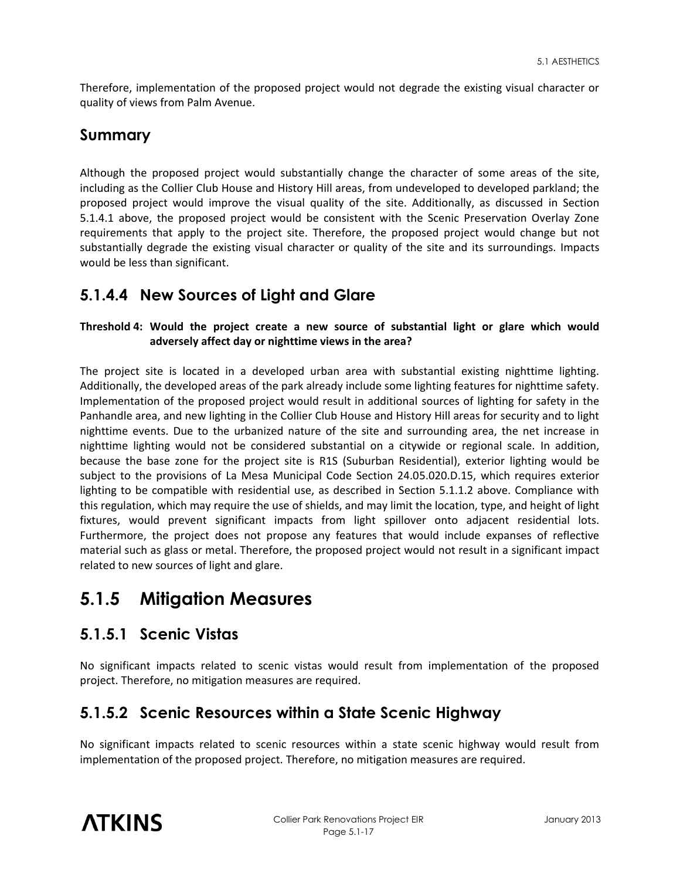Therefore, implementation of the proposed project would not degrade the existing visual character or quality of views from Palm Avenue.

### **Summary**

Although the proposed project would substantially change the character of some areas of the site, including as the Collier Club House and History Hill areas, from undeveloped to developed parkland; the proposed project would improve the visual quality of the site. Additionally, as discussed in Section 5.1.4.1 above, the proposed project would be consistent with the Scenic Preservation Overlay Zone requirements that apply to the project site. Therefore, the proposed project would change but not substantially degrade the existing visual character or quality of the site and its surroundings. Impacts would be less than significant.

### **5.1.4.4 New Sources of Light and Glare**

**Threshold 4: Would the project create a new source of substantial light or glare which would adversely affect day or nighttime views in the area?** 

The project site is located in a developed urban area with substantial existing nighttime lighting. Additionally, the developed areas of the park already include some lighting features for nighttime safety. Implementation of the proposed project would result in additional sources of lighting for safety in the Panhandle area, and new lighting in the Collier Club House and History Hill areas for security and to light nighttime events. Due to the urbanized nature of the site and surrounding area, the net increase in nighttime lighting would not be considered substantial on a citywide or regional scale. In addition, because the base zone for the project site is R1S (Suburban Residential), exterior lighting would be subject to the provisions of La Mesa Municipal Code Section 24.05.020.D.15, which requires exterior lighting to be compatible with residential use, as described in Section 5.1.1.2 above. Compliance with this regulation, which may require the use of shields, and may limit the location, type, and height of light fixtures, would prevent significant impacts from light spillover onto adjacent residential lots. Furthermore, the project does not propose any features that would include expanses of reflective material such as glass or metal. Therefore, the proposed project would not result in a significant impact related to new sources of light and glare.

# **5.1.5 Mitigation Measures**

### **5.1.5.1 Scenic Vistas**

No significant impacts related to scenic vistas would result from implementation of the proposed project. Therefore, no mitigation measures are required.

### **5.1.5.2 Scenic Resources within a State Scenic Highway**

No significant impacts related to scenic resources within a state scenic highway would result from implementation of the proposed project. Therefore, no mitigation measures are required.